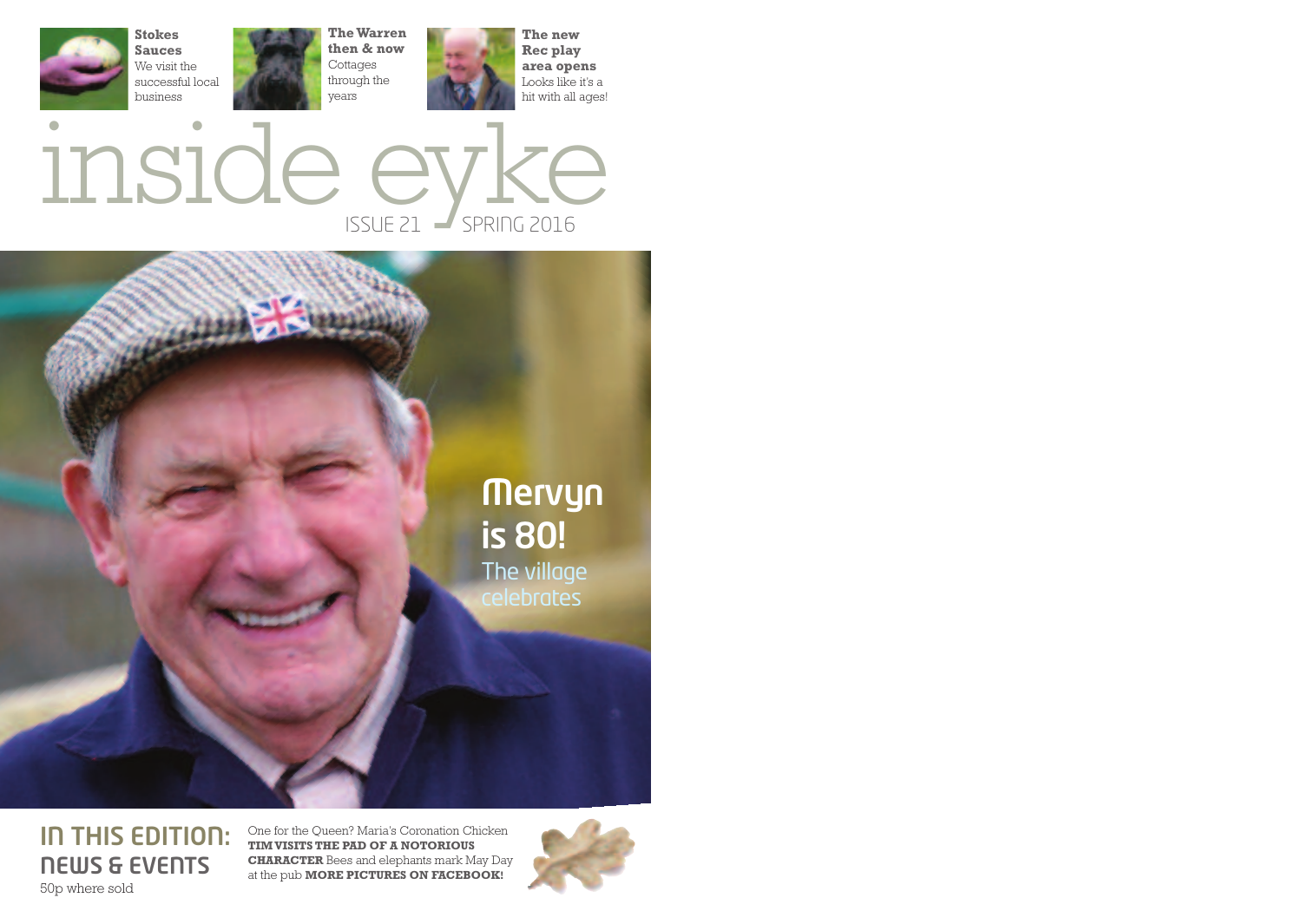





#### **IN THIS EDITION: NEWS & EVENTS** 50p where sold

One for the Queen? Maria's Coronation Chicken **TIMVISITS THE PAD OF A NOTORIOUS CHARACTER** Bees and elephants mark May Day at the pub **MORE PICTURES ON FACEBOOK!**

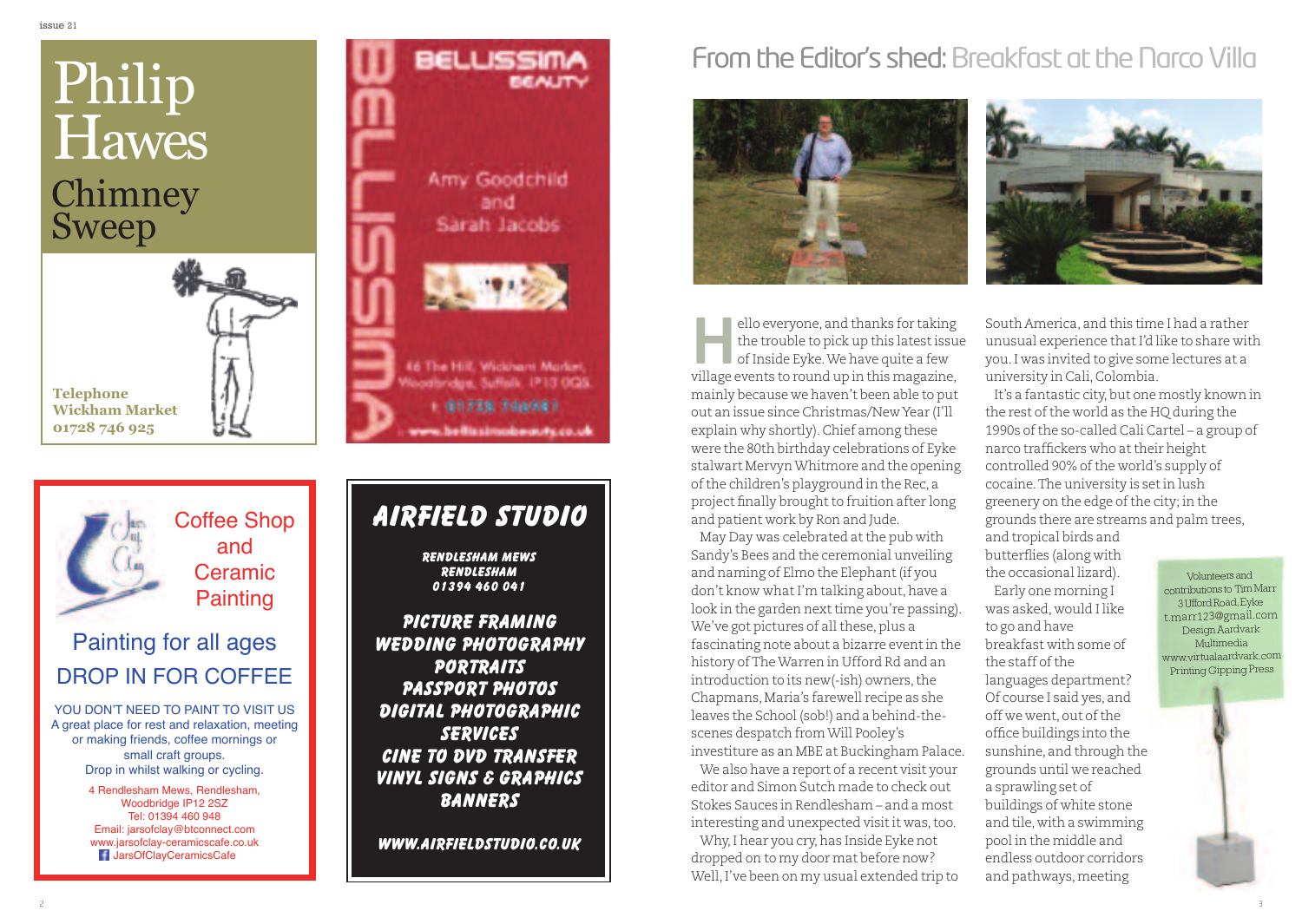## Chimney Sweep Philip **Hawes**

**Telephone**



Coffee Shop

and Ceramic **Painting** 

### Painting for all ages DROP IN FOR COFFEE

YOU DON'T NEED TO PAINT TO VISIT US A great place for rest and relaxation, meeting or making friends, coffee mornings or small craft groups. Drop in whilst walking or cycling.

> 4 Rendlesham Mews, Rendlesham, Woodbridge IP12 2SZ Tel: 01394 460 948 Email: jarsofclay@btconnect.com www.jarsofclay-ceramicscafe.co.uk JarsOfClayCeramicsCafe



## **AIRFIELD STUDIO**

**Rendlesham mews Rendlesham 01394 460 041**

**PICTURE FRAMING WEDDING PHOTOGRAPHY PORTRAITS PASSPORT PHOTOS DIGITAL PHOTOGRAPHIC SERVICES CINE TO DVD TRANSFER VINYL SIGNS & GRAPHICS BANNERS**

**WWW.AIRFIELDSTUDIO.CO.UK**

## From the Editor's shed: Breakfast at the Narco Villa





ello everyone, and thanks for taking the trouble to pick up this latestissue ofInside Eyke.We have quite a few ello everyone, and thanks for taking<br>the trouble to pick up this latest issue<br>of Inside Eyke. We have quite a few<br>village events to round up in this magazine, mainly because we haven't been able to put out an issue since Christmas/NewYear (I'll explain why shortly).Chief among these were the 80th birthday celebrations of Eyke stalwart MervynWhitmore and the opening ofthe children's playground in the Rec, a project finally brought to fruition after long and patient work by Ron and Jude.

May Day was celebrated at the pub with Sandy's Bees and the ceremonial unveiling and naming of Elmo the Elephant (if you don't know what I'm talking about, have a look in the garden next time you're passing). We've got pictures of all these, plus a fascinating note about a bizarre eventin the history ofTheWarren in Ufford Rd and an introduction to its new(-ish) owners, the Chapmans, Maria's farewell recipe as she leaves the School (sob!) and a behind-thescenes despatch fromWill Pooley's investiture as an MBE at Buckingham Palace.

We also have a report of a recent visit your editor and Simon Sutch made to check out Stokes Sauces in Rendlesham – and a most interesting and unexpected visit it was, too.

Why, I hear you cry, has Inside Eyke not dropped on to my door mat before now? Well,I've been on my usual extended trip to South America, and this time I had a rather unusual experience thatI'd like to share with you.I was invited to give some lectures at a university in Cali,Colombia.

It's a fantastic city, but one mostly known in the rest of the world as the HQ during the 1990s of the so-called Cali Cartel – a group of narco traffickers who attheir height controlled 90% of the world's supply of cocaine.The university is setin lush greenery on the edge of the city; in the grounds there are streams and palm trees,

and tropical birds and butterflies (along with the occasional lizard).

Early one morning I was asked, would I like to go and have breakfast with some of the staff of the languages department? Of course I said yes, and off we went, out ofthe office buildings into the sunshine, and through the grounds until we reached a sprawling set of buildings of white stone and tile, with a swimming pool in the middle and endless outdoor corridors and pathways,meeting

Volunteersand contributions to TimMarr 3UffordRoad,Eyke t.marr123@gmail.com Design Aardvark Multimedia www.virtualaardvark.com Printing Gipping Press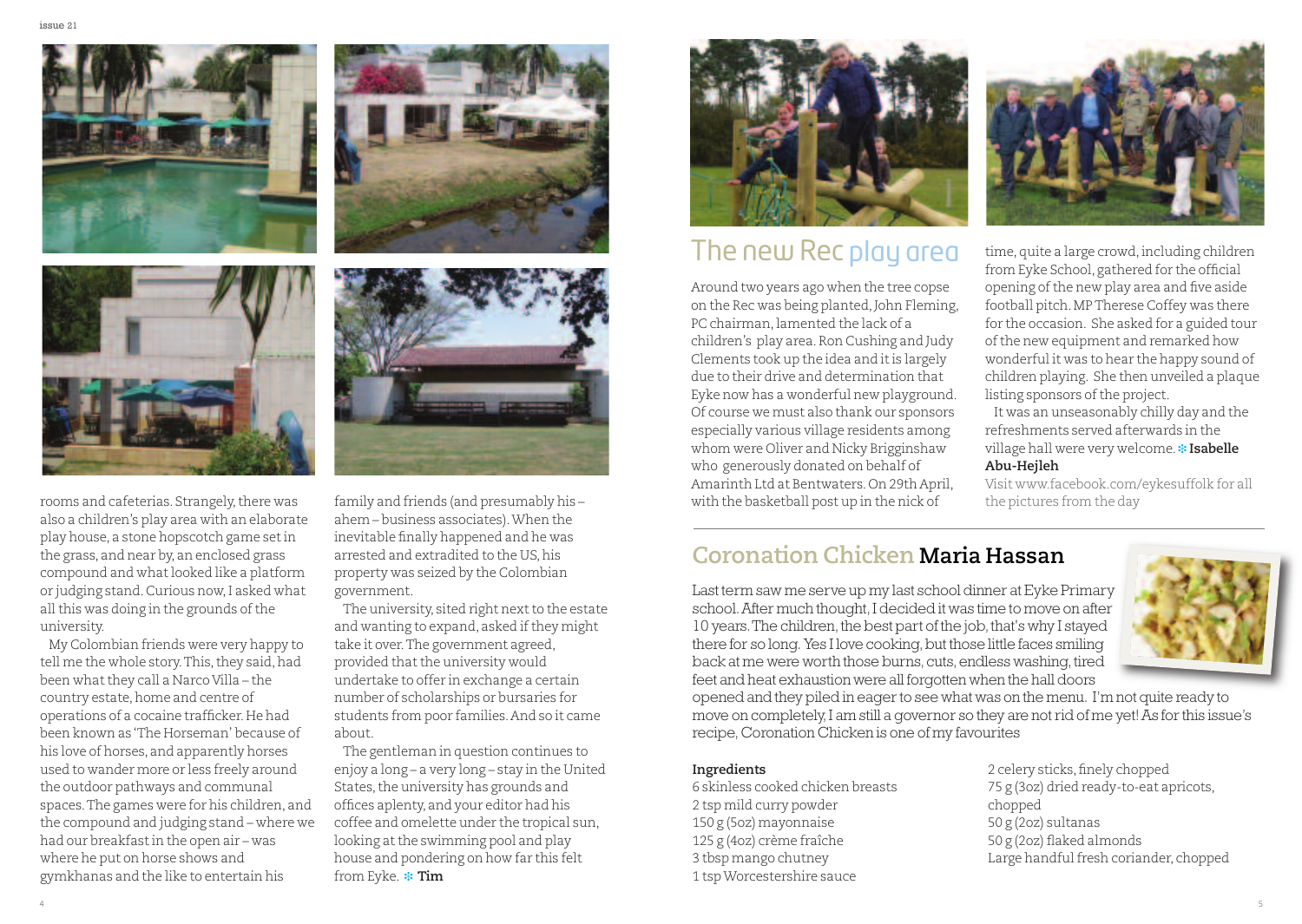

rooms and cafeterias. Strangely, there was also <sup>a</sup> children's play area with an elaborate play house, <sup>a</sup> stone hopscotch game setin the grass, and near by, an enclosed grass compound and whatlooked like <sup>a</sup> platform or judging stand.Curious now,I asked what all this was doing in the grounds of the university.

My Colombian friends were very happy to tell me the whole story. This, they said, had been what they call a Narco Villa - the country estate, home and centre of operations of <sup>a</sup> cocaine trafficker.He had been known as 'The Horseman' because of his love of horses, and apparently horses used to wander more or less freely around the outdoor pathways and communal spaces.The games were for his children, and the compound and judging stand – where we had our breakfastin the open air – was where he pu<sup>t</sup> on horse shows and gymkhanas and the like to entertain his





family and friends (and presumably his – ahem – business associates).When the inevitable finally happened and he was arrested and extradited to the US, his property was seized by the Colombian government.

The university, sited right next to the estate and wanting to expand, asked if they might take it over.The governmen<sup>t</sup> agreed, provided that the university would undertake to offer in exchange <sup>a</sup> certain number of scholarships or bursaries for students from poor families.And so it came about.

The gentleman in question continues to enjoy <sup>a</sup> long – <sup>a</sup> very long – stay in the United States, the university has grounds and offices aplenty, and your editor had his coffee and omelette under the tropical sun, looking at the swimming pool and play house and pondering on how far this felt from Eyke. \* Tim



## The new Rec play area

Around two years ago when the tree copse on the Rec was being planted,John Fleming, PC chairman, lamented the lack of a children's play area.Ron Cushing and Judy Clements took up the idea and it is largely due to their drive and determination that Eyke now has <sup>a</sup> wonderful new playground. Of course we must also thank our sponsors especially various village residents among whom were Oliver and Nicky Brigginshaw who generously donated on behalf of Amarinth Ltd at Bentwaters.On 29th April, with the basketball pos<sup>t</sup> up in the nick of



time, quite a large crowd, including children from Eyke School, gathered for the official opening ofthe new play area and five aside football pitch.MPTherese Coffey was there for the occasion. She asked for <sup>a</sup> guided tour ofthe new equipment and remarked how wonderful it was to hear the happy sound of children playing. She then unveiled <sup>a</sup> plaque listing sponsors of the project.

It was an unseasonably chilly day and the refreshments served afterwards in the village hall were very welcome. \* Isabelle **Abu-Hejleh**

Visit www.facebook.com/eykesuffolk for all the pictures from the day

### **Coronation Chicken Maria Hassan**

Last term saw me serve up my last school dinner at Eyke Primary school. After much thought, I decided it was time to move on after 10 years. The children, the best part of the job, that's why I stayed there for so long. Yes I love cooking, but those little faces smiling back at me were worth those burns, cuts, endless washing, tired feet and heat exhaustion were all forgotten when the hall doors



#### **Ingredients**

 skinless cooked chicken breasts tsp mild curry powder g (5oz) mayonnaise g (4oz) crème fraîche tbsp mango chutney tspWorcestershire sauce

2 celery sticks, finely chopped 75 g (3oz) dried ready-to-eat apricots, chopped 50 g (2oz) sultanas 50 g (2oz) flaked almonds Large handful fresh coriander, chopped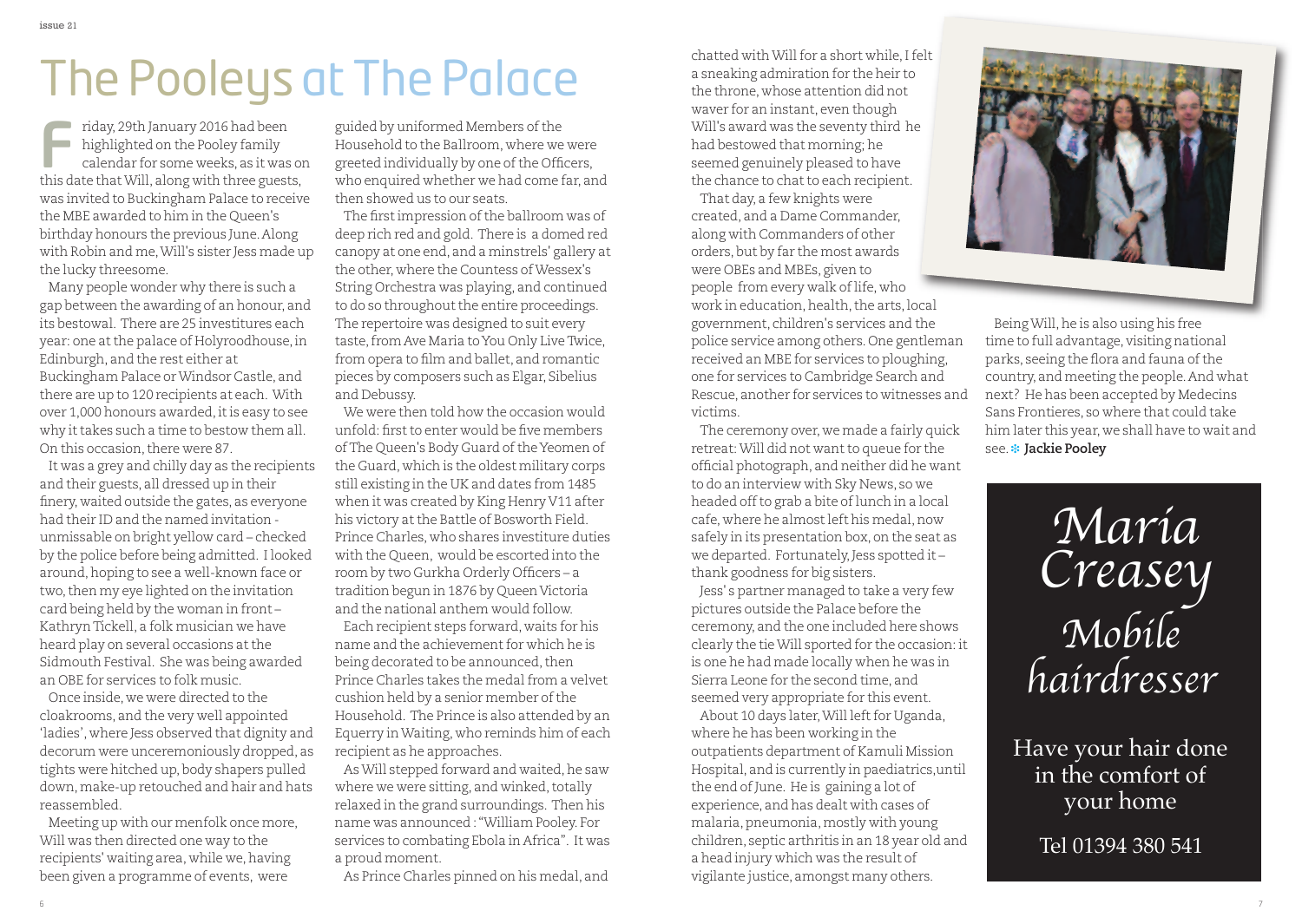## The Pooleys at The Palace

riday, 29th January 2016 had been highlighted on the Pooley family calendar for some weeks, as it was on riday, 29th January 2016 had been<br>highlighted on the Pooley family<br>calendar for some weeks, as it was o<br>this date that Will, along with three guests, was invited to Buckingham Palace to receive the MBE awarded to him in the Queen's birthday honours the previous June.Along with Robin and me,Will's sister Jess made up the lucky threesome.

Many people wonder why there is such a gap between the awarding of an honour, and its bestowal. There are 25 investitures each year: one atthe palace of Holyroodhouse,in Edinburgh, and the rest either at Buckingham Palace orWindsor Castle, and there are up to 120 recipients at each. With over 1,000 honours awarded,itis easy to see why it takes such a time to bestow them all. On this occasion, there were 87.

It was a grey and chilly day as the recipients and their guests, all dressed up in their finery, waited outside the gates, as everyone had their ID and the named invitation unmissable on bright yellow card – checked by the police before being admitted. I looked around, hoping to see a well-known face or two,then my eye lighted on the invitation card being held by the woman in front – KathrynTickell, a folk musician we have heard play on several occasions atthe Sidmouth Festival. She was being awarded an OBE for services to folk music.

Once inside, we were directed to the cloakrooms, and the very well appointed 'ladies', where Jess observed that dignity and decorum were unceremoniously dropped, as tights were hitched up, body shapers pulled down, make-up retouched and hair and hats reassembled.

Meeting up with our menfolk once more, Will was then directed one way to the recipients' waiting area, while we, having been given a programme of events, were

guided by uniformed Members of the Household to the Ballroom, where we were greeted individually by one of the Officers, who enquired whether we had come far, and then showed us to our seats.

The first impression of the ballroom was of deep rich red and gold. There is a domed red canopy at one end, and a minstrels' gallery at the other, where the Countess ofWessex's String Orchestra was playing, and continued to do so throughout the entire proceedings. The repertoire was designed to suit every taste, from Ave Maria to You Only Live Twice, from opera to film and ballet, and romantic pieces by composers such as Elgar, Sibelius and Debussy.

We were then told how the occasion would unfold: first to enter would be five members of The Queen's Body Guard of the Yeomen of the Guard, which is the oldest military corps still existing in the UK and dates from 1485 when it was created by King Henry V11 after his victory at the Battle of Bosworth Field. Prince Charles, who shares investiture duties with the Queen, would be escorted into the room by two Gurkha Orderly Officers – a tradition begun in 1876 by Queen Victoria and the national anthem would follow. Each recipient steps forward, waits for his name and the achievement for which he is being decorated to be announced, then Prince Charles takes the medal from a velvet cushion held by a senior member of the Household. The Prince is also attended by an Equerry inWaiting, who reminds him of each recipient as he approaches.

As Will stepped forward and waited, he saw where we were sitting, and winked, totally relaxed in the grand surroundings. Then his name was announced :"William Pooley. For services to combating Ebola in Africa". It was a proud moment.

As Prince Charles pinned on his medal, and

chatted withWillfor a short while,Ifelt a sneaking admiration for the heir to the throne, whose attention did not waver for an instant, even though Will's award was the seventy third he had bestowed that morning; he seemed genuinely pleased to have the chance to chat to each recipient.

That day, a few knights were created, and a Dame Commander, along with Commanders of other orders, but by far the most awards were OBEs and MBEs, given to

people from every walk of life, who work in education, health, the arts, local government, children's services and the police service among others.One gentleman received an MBE for services to ploughing, one for services to Cambridge Search and Rescue, another for services to witnesses and victims.

The ceremony over, we made a fairly quick retreat: Will did not want to queue for the official photograph, and neither did he want to do an interview with Sky News, so we headed off to grab a bite of lunch in a local cafe, where he almostleft his medal,now safely in its presentation box, on the seat as we departed. Fortunately, Jess spotted it thank goodness for big sisters.

Jess' s partner managed to take a very few pictures outside the Palace before the ceremony, and the one included here shows clearly the tieWill sported for the occasion: it is one he had made locally when he was in Sierra Leone for the second time, and seemed very appropriate for this event.

About 10 days later, Will left for Uganda, where he has been working in the outpatients department of Kamuli Mission Hospital, and is currently in paediatrics,until the end of June. He is gaining a lot of experience, and has dealt with cases of malaria, pneumonia, mostly with young children, septic arthritis in an 18 year old and a head injury which was the result of vigilante justice, amongst many others.



BeingWill,he is also using his free time to full advantage, visiting national parks, seeing the flora and fauna of the country, and meeting the people.And what next? He has been accepted by Medecins Sans Frontieres, so where that could take him later this year, we shall have to wait and **see.\*** Jackie Pooley

> Maria Creasey Mobile hairdresser

Have your hair done in the comfort of your home

Tel 01394 380 541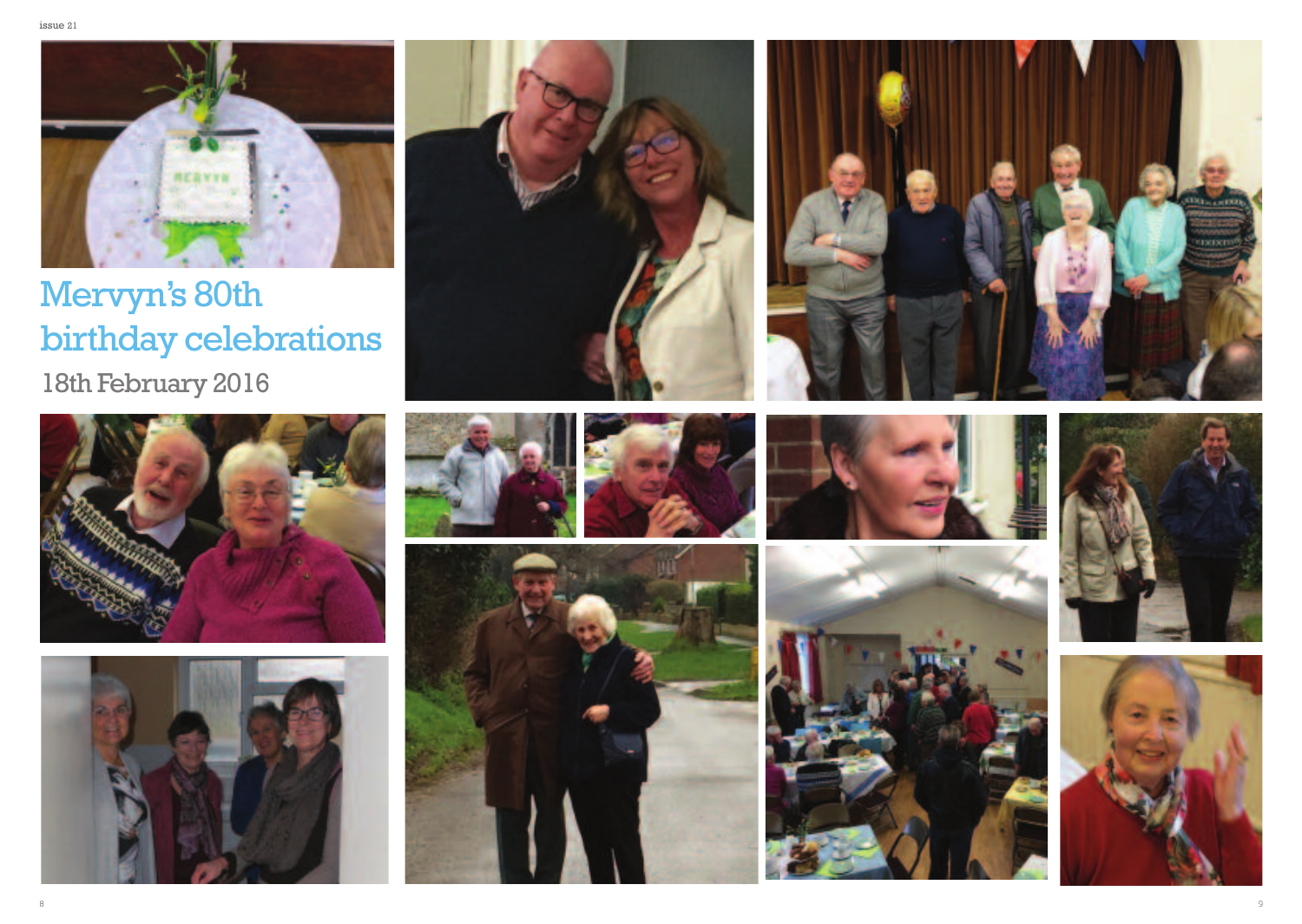

Mervyn's 80th birthday celebrations

18th February 2016





















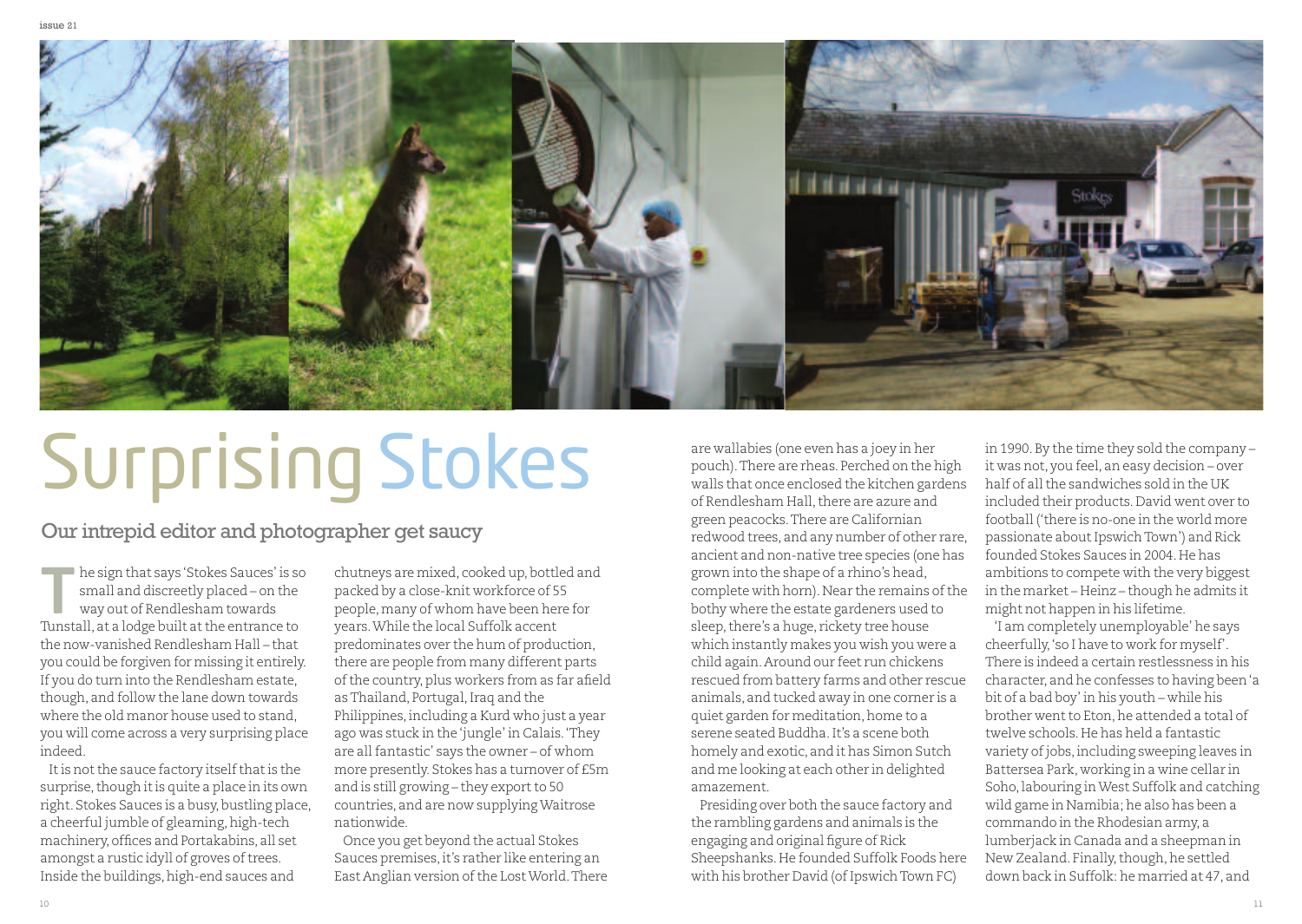

# Surprising Stokes

Our intrepid editor and photographer get saucy

he sign that says 'Stokes Sauces' is so<br>small and discreetly placed – on the<br>way out of Rendlesham towards<br>Tunstall at a logge built at the entreprise to small and discreetly placed – on the way out of Rendlesham towards Tunstall, at a lodge built atthe entrance to the now-vanished Rendlesham Hall – that you could be forgiven for missing it entirely. If you do turn into the Rendlesham estate, though, and follow the lane down towards where the old manor house used to stand, you will come across a very surprising place indeed.

It is not the sauce factory itself that is the surprise, though it is quite a place in its own right. Stokes Sauces is a busy, bustling place, a cheerful jumble of gleaming, high-tech machinery, offices and Portakabins, all set amongst a rustic idyll of groves of trees. Inside the buildings, high-end sauces and

chutneys are mixed, cooked up, bottled and packed by a close-knit workforce of 55 people, many of whom have been here for years.While the local Suffolk accent predominates over the hum of production, there are people from many different parts of the country, plus workers from as far afield as Thailand, Portugal, Iraq and the Philippines, including a Kurd who just a year ago was stuck in the'jungle' in Calais.'They are allfantastic' says the owner – of whom more presently. Stokes has a turnover of £5m and is still growing – they export to 50 countries, and are now supplyingWaitrose nationwide.

Once you get beyond the actual Stokes Sauces premises,it's rather like entering an East Anglian version of the Lost World. There

are wallabies (one even has a joey in her pouch).There are rheas. Perched on the high walls that once enclosed the kitchen gardens of Rendlesham Hall, there are azure and green peacocks.There are Californian redwood trees, and any number of other rare, ancient and non-native tree species (one has grown into the shape of a rhino's head, complete with horn). Near the remains of the bothy where the estate gardeners used to sleep, there's a huge, rickety tree house which instantly makes you wish you were a child again.Around our feet run chickens rescued from battery farms and other rescue animals, and tucked away in one corner is a quiet garden for meditation, home to a serene seated Buddha.It's a scene both homely and exotic, and it has Simon Sutch and me looking at each other in delighted amazement.

Presiding over both the sauce factory and the rambling gardens and animals is the engaging and original figure of Rick Sheepshanks.He founded Suffolk Foods here with his brother David (of Ipswich Town FC)

in 1990.By the time they sold the company – it was not, you feel, an easy decision – over half of allthe sandwiches sold in the UK included their products.David went over to football ('there is no-one in the world more passionate about Ipswich Town') and Rick founded Stokes Sauces in 2004. He has ambitions to compete with the very biggest in the market – Heinz – though he admits it might not happen in his lifetime.

'I am completely unemployable' he says cheerfully,'so I have to work for myself'. There is indeed a certain restlessness in his character, and he confesses to having been'a bit of a bad boy' in his youth – while his brother went to Eton, he attended a total of twelve schools.He has held a fantastic variety of jobs, including sweeping leaves in Battersea Park, working in a wine cellar in Soho,labouring inWest Suffolk and catching wild game in Namibia; he also has been a commando in the Rhodesian army, a lumberjack in Canada and a sheepman in New Zealand. Finally, though, he settled down back in Suffolk: he married at 47, and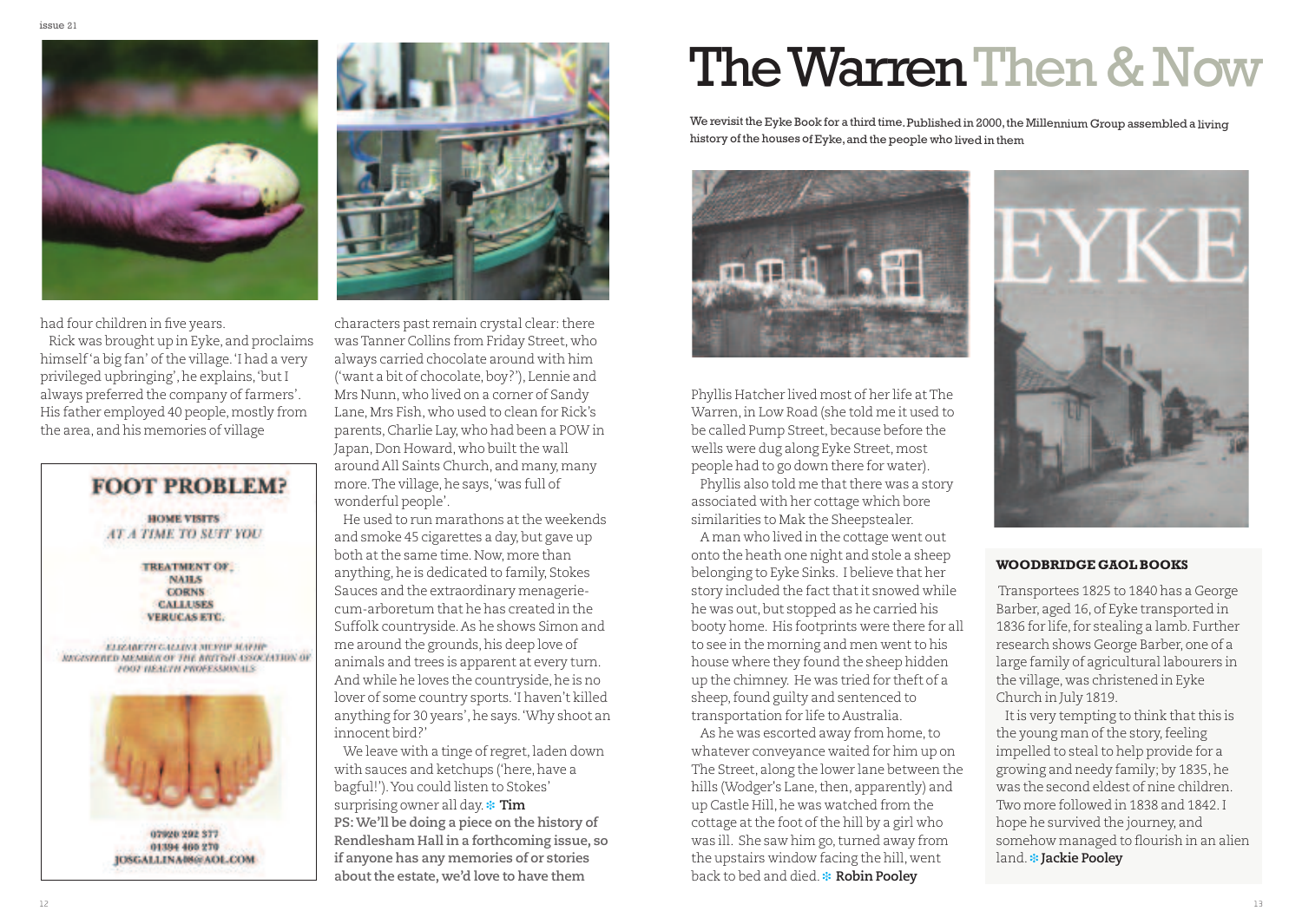

had four children in five years.

Rick was brought up in Eyke, and proclaims himself'a big fan' of the village. 'I had a very privileged upbringing',he explains,'butI always preferred the company offarmers'. His father employed 40 people, mostly from the area, and his memories of village





characters past remain crystal clear: there wasTanner Collins from Friday Street, who always carried chocolate around with him ('want a bit of chocolate, boy?'), Lennie and Mrs Nunn, who lived on a corner of Sandy Lane, Mrs Fish, who used to clean for Rick's parents,Charlie Lay, who had been a POW in Japan, Don Howard, who built the wall around All Saints Church, and many, many more.The village,he says,'was full of wonderful people'.

He used to run marathons at the weekends and smoke 45 cigarettes a day, but gave up both at the same time. Now, more than anything, he is dedicated to family, Stokes Sauces and the extraordinary menageriecum-arboretum that he has created in the Suffolk countryside.As he shows Simon and me around the grounds, his deep love of animals and trees is apparent at every turn. And while he loves the countryside, he is no lover of some country sports.'I haven't killed anything for 30 years', he says. 'Why shoot an innocent bird?'

We leave with a tinge of regret, laden down with sauces and ketchups ('here, have a bagful!').You could listen to Stokes' surprising owner all day. \* Tim **PS:We'll be doing a piece on the history of Rendlesham Hall in a forthcoming issue, so if anyone has any memories of or stories about the estate, we'd love to have them**

## The Warren Then & Now

We revisit the Eyke Book for a third time. Published in 2000, the Millennium Group assembled a living history of the houses of Eyke,and the people who lived in them



Phyllis Hatcher lived most of her life atThe Warren,in Low Road (she told me it used to be called Pump Street, because before the wells were dug along Eyke Street, most people had to go down there for water).

Phyllis also told me that there was a story associated with her cottage which bore similarities to Mak the Sheepstealer.

A man who lived in the cottage went out onto the heath one night and stole a sheep belonging to Eyke Sinks. I believe that her story included the fact that it snowed while he was out, but stopped as he carried his booty home. His footprints were there for all to see in the morning and men went to his house where they found the sheep hidden up the chimney. He was tried for theft of a sheep, found guilty and sentenced to transportation for life to Australia.

As he was escorted away from home, to whatever conveyance waited for him up on The Street, along the lower lane between the hills (Wodger's Lane, then, apparently) and up Castle Hill,he was watched from the cottage at the foot of the hill by a girl who was ill. She saw him go, turned away from the upstairs window facing the hill, went **back to bed and died. \* Robin Pooley** 



#### **WOODBRIDGE GAOLBOOKS**

Transportees 1825 to 1840 has a George Barber, aged 16, of Eyke transported in 1836 for life, for stealing a lamb. Further research shows George Barber, one of a large family of agricultural labourers in the village, was christened in Eyke Church in July 1819.

It is very tempting to think that this is the young man of the story, feeling impelled to steal to help provide for a growing and needy family; by 1835,he was the second eldest of nine children. Two more followed in 1838 and 1842.I hope he survived the journey, and somehow managed to flourish in an alien **land. \* Jackie Pooley**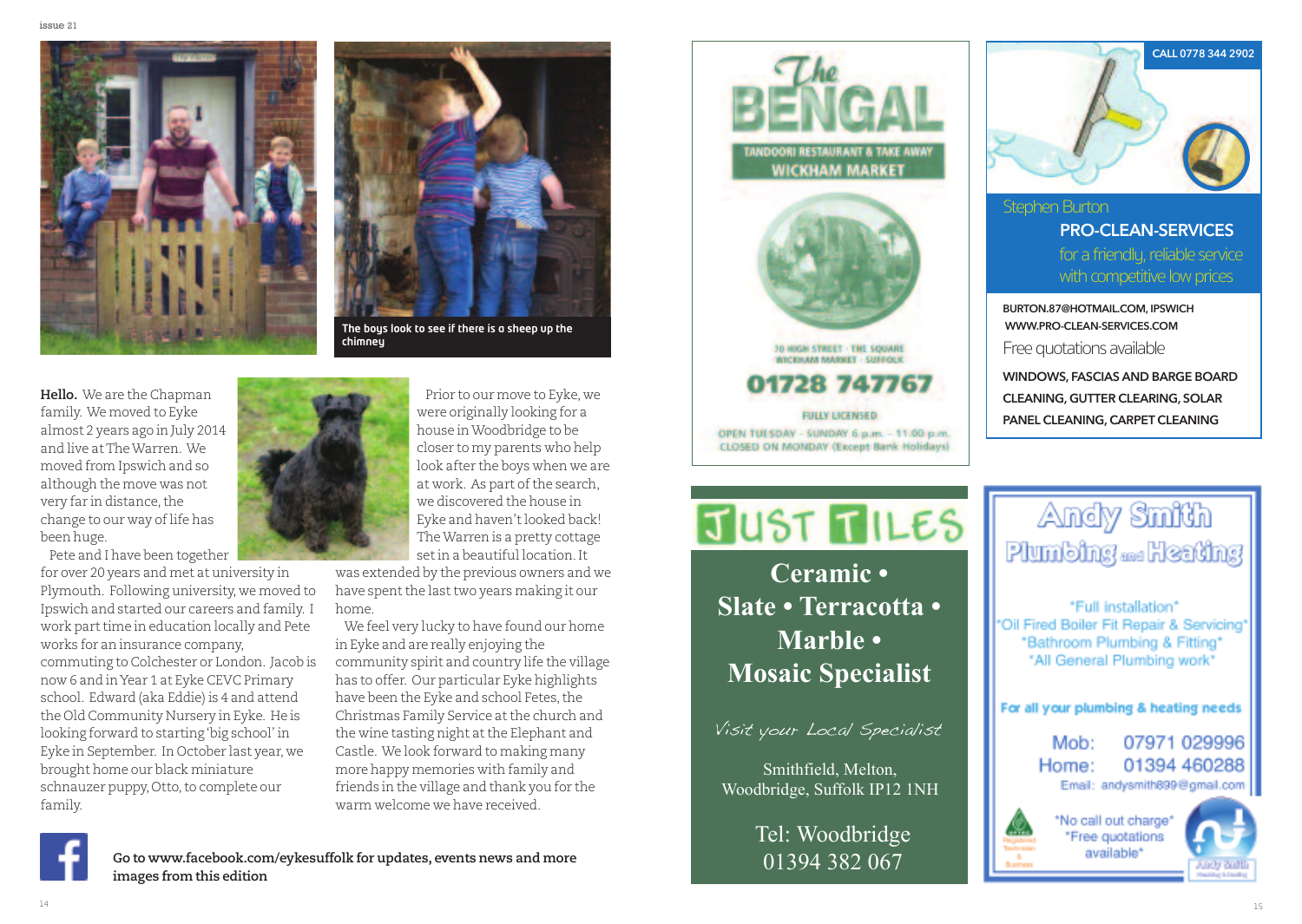



**The boys look to see if there is a sheep up the chimney**

**Hello.** We are the Chapman family. We moved to Eyke almost 2 years ago in July 2014 and live atTheWarren. We moved from Ipswich and so although the move was not very far in distance,the change to our way of life has been huge.

Pete and I have been together for over 20 years and met at university in Plymouth. Following university, we moved to Ipswich and started our careers and family. I work part time in education locally and Pete works for an insurance company, commuting to Colchester or London. Jacob is now 6 and inYear 1 at Eyke CEVC Primary school. Edward (aka Eddie) is 4 and attend the Old Community Nursery in Eyke. He is looking forward to starting'big school' in Eyke in September. In October last year, we brought home our black miniature schnauzer puppy, Otto, to complete our family.



Prior to our move to Eyke, we were originally looking for a house inWoodbridge to be closer to my parents who help look after the boys when we are at work. As part of the search, we discovered the house in Eyke and haven'tlooked back! TheWarren is a pretty cottage setin a beautiful location.It

was extended by the previous owners and we have spent the last two years making it our home.

We feel very lucky to have found our home in Eyke and are really enjoying the community spirit and country life the village has to offer. Our particular Eyke highlights have been the Eyke and school Fetes, the Christmas Family Service at the church and the wine tasting night at the Elephant and Castle. We look forward to making many more happy memories with family and friends in the village and thank you for the warm welcome we have received.

**ANDOORI RESTAURANT & TAKE AWAY WICKHAM MARKET** 



**FULLY LICENSED** OPEN TUESDAY - SUNDAY 6 p.m. - 11.00 p.m. CLOSED ON MONDAY (Except Bank Holidays)



Stephen Burton for a friendly, reliable service with competitive low prices **pro-Clean-serviCes**

**Burton.87@hotmail.Com, ipswiCh www.pro-Clean-serviCes.Com**

Free quotations available

**windows, fasCias and Barge Board Cleaning, gutter Clearing, solar panel Cleaning,Carpet Cleaning**

## JUST TILES

Mosoic Sposialist **Mosaic Specialist Ceramic • Slate • Terracotta • Marble •**

#### sit vour Local Specialist Visit your Local Specialist

 $W_{\Omega}$  odbridge Suffolk ID12 1NH Woodbridge, Suffolk IP12 1NH Smithfield, Melton,

> Tel: Woodbridge 01394 382 067



\*Full\_installation\* \*Oil Fired Boiler Fit Repair & Servicing\* \*Bathroom Plumbing & Fitting\* \*All General Plumbing work\*

For all your plumbing & heating needs

07971 029996 Mob: 01394 460288 Home: Email: andysmith899@gmail.com







**Go to www.facebook.com/eykesuffolk for updates, events news and more images from this edition**